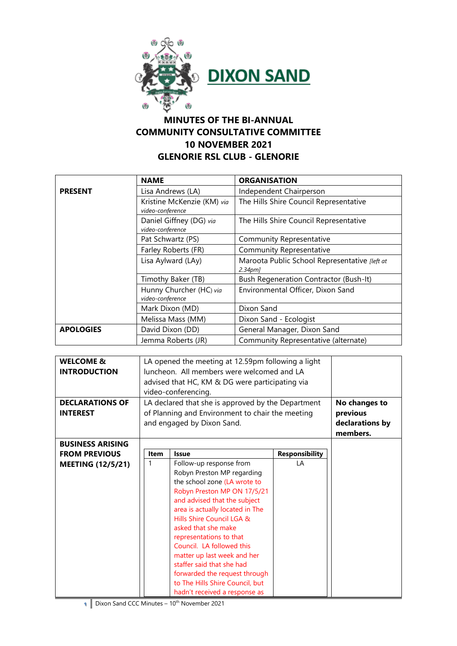



## **MINUTES OF THE BI-ANNUAL COMMUNITY CONSULTATIVE COMMITTEE 10 NOVEMBER 2021 GLENORIE RSL CLUB - GLENORIE**

|                      | <b>NAME</b>                                        | <b>ORGANISATION</b>                                                       |
|----------------------|----------------------------------------------------|---------------------------------------------------------------------------|
| <b>PRESENT</b>       | Lisa Andrews (LA)                                  | Independent Chairperson                                                   |
|                      | Kristine McKenzie (KM) via<br>video-conference     | The Hills Shire Council Representative                                    |
|                      | Daniel Giffney (DG) via<br>video-conference        | The Hills Shire Council Representative                                    |
|                      | Pat Schwartz (PS)                                  | <b>Community Representative</b>                                           |
|                      | Farley Roberts (FR)                                | <b>Community Representative</b>                                           |
|                      | Lisa Aylward (LAy)                                 | Maroota Public School Representative [left at<br>$2.34$ pm $\overline{a}$ |
|                      | Timothy Baker (TB)                                 | <b>Bush Regeneration Contractor (Bush-It)</b>                             |
|                      | Hunny Churcher (HC) via<br>video-conference        | Environmental Officer, Dixon Sand                                         |
|                      | Mark Dixon (MD)                                    | Dixon Sand                                                                |
|                      | Melissa Mass (MM)                                  | Dixon Sand - Ecologist                                                    |
| <b>APOLOGIES</b>     | David Dixon (DD)                                   | General Manager, Dixon Sand                                               |
| Jemma Roberts (JR)   |                                                    | Community Representative (alternate)                                      |
|                      |                                                    |                                                                           |
| <b>WELCOME &amp;</b> | LA opened the meeting at 12.59pm following a light |                                                                           |

| <b>WELCOME &amp;</b><br><b>INTRODUCTION</b> | LA opened the meeting at 12.59pm following a light<br>luncheon. All members were welcomed and LA<br>advised that HC, KM & DG were participating via<br>video-conferencing. |                                 |                       |                             |
|---------------------------------------------|----------------------------------------------------------------------------------------------------------------------------------------------------------------------------|---------------------------------|-----------------------|-----------------------------|
| <b>DECLARATIONS OF</b>                      | LA declared that she is approved by the Department<br>of Planning and Environment to chair the meeting<br>and engaged by Dixon Sand.                                       |                                 |                       | No changes to               |
| <b>INTEREST</b>                             |                                                                                                                                                                            |                                 |                       | previous                    |
|                                             |                                                                                                                                                                            |                                 |                       | declarations by<br>members. |
| <b>BUSINESS ARISING</b>                     |                                                                                                                                                                            |                                 |                       |                             |
| <b>FROM PREVIOUS</b>                        | <b>Item</b>                                                                                                                                                                | <b>Issue</b>                    | <b>Responsibility</b> |                             |
| <b>MEETING (12/5/21)</b>                    | $\mathbf{1}$                                                                                                                                                               | Follow-up response from         | I A                   |                             |
|                                             |                                                                                                                                                                            | Robyn Preston MP regarding      |                       |                             |
|                                             |                                                                                                                                                                            | the school zone (LA wrote to    |                       |                             |
|                                             |                                                                                                                                                                            | Robyn Preston MP ON 17/5/21     |                       |                             |
|                                             |                                                                                                                                                                            | and advised that the subject    |                       |                             |
|                                             |                                                                                                                                                                            | area is actually located in The |                       |                             |
|                                             |                                                                                                                                                                            | Hills Shire Council LGA &       |                       |                             |
|                                             |                                                                                                                                                                            | asked that she make             |                       |                             |
|                                             |                                                                                                                                                                            | representations to that         |                       |                             |
|                                             |                                                                                                                                                                            | Council. LA followed this       |                       |                             |
|                                             |                                                                                                                                                                            | matter up last week and her     |                       |                             |
|                                             |                                                                                                                                                                            | staffer said that she had       |                       |                             |
|                                             |                                                                                                                                                                            | forwarded the request through   |                       |                             |
|                                             |                                                                                                                                                                            | to The Hills Shire Council, but |                       |                             |
|                                             |                                                                                                                                                                            | hadn't received a response as   |                       |                             |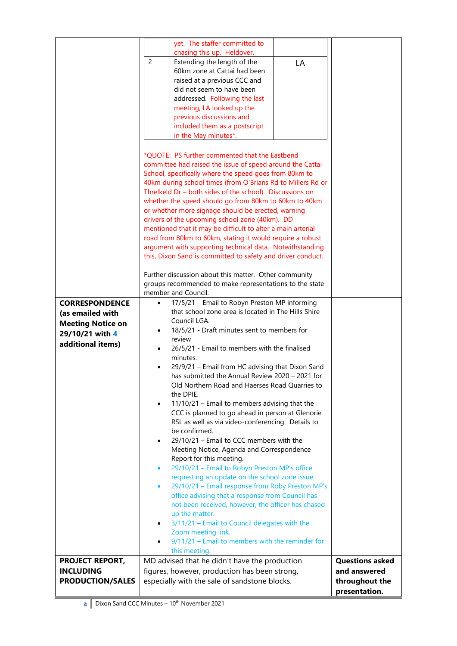|                                            | yet. The staffer committed to                                                                               |                                        |
|--------------------------------------------|-------------------------------------------------------------------------------------------------------------|----------------------------------------|
|                                            | chasing this up. Heldover.                                                                                  |                                        |
|                                            | $\overline{c}$<br>Extending the length of the<br>LA<br>60km zone at Cattai had been                         |                                        |
|                                            | raised at a previous CCC and                                                                                |                                        |
|                                            | did not seem to have been                                                                                   |                                        |
|                                            | addressed. Following the last                                                                               |                                        |
|                                            | meeting, LA looked up the                                                                                   |                                        |
|                                            | previous discussions and                                                                                    |                                        |
|                                            | included them as a postscript                                                                               |                                        |
|                                            | in the May minutes*.                                                                                        |                                        |
|                                            | *QUOTE: PS further commented that the Eastbend                                                              |                                        |
|                                            | committee had raised the issue of speed around the Cattai                                                   |                                        |
|                                            | School, specifically where the speed goes from 80km to                                                      |                                        |
|                                            | 40km during school times (from O'Brians Rd to Millers Rd or                                                 |                                        |
|                                            | Threlkeld Dr - both sides of the school). Discussions on                                                    |                                        |
|                                            | whether the speed should go from 80km to 60km to 40km<br>or whether more signage should be erected, warning |                                        |
|                                            | drivers of the upcoming school zone (40km). DD                                                              |                                        |
|                                            | mentioned that it may be difficult to alter a main arterial                                                 |                                        |
|                                            | road from 80km to 60km, stating it would require a robust                                                   |                                        |
|                                            | argument with supporting technical data. Notwithstanding                                                    |                                        |
|                                            | this, Dixon Sand is committed to safety and driver conduct.                                                 |                                        |
|                                            | Further discussion about this matter. Other community                                                       |                                        |
|                                            | groups recommended to make representations to the state                                                     |                                        |
|                                            | member and Council.                                                                                         |                                        |
| <b>CORRESPONDENCE</b>                      | 17/5/21 - Email to Robyn Preston MP informing<br>٠                                                          |                                        |
| (as emailed with                           | that school zone area is located in The Hills Shire                                                         |                                        |
| <b>Meeting Notice on</b>                   | Council LGA.<br>18/5/21 - Draft minutes sent to members for                                                 |                                        |
| 29/10/21 with 4                            | review                                                                                                      |                                        |
| additional items)                          | 26/5/21 - Email to members with the finalised                                                               |                                        |
|                                            | minutes.                                                                                                    |                                        |
|                                            | 29/9/21 - Email from HC advising that Dixon Sand                                                            |                                        |
|                                            | has submitted the Annual Review 2020 - 2021 for                                                             |                                        |
|                                            | Old Northern Road and Haerses Road Quarries to<br>the DPIE.                                                 |                                        |
|                                            | 11/10/21 - Email to members advising that the<br>$\bullet$                                                  |                                        |
|                                            | CCC is planned to go ahead in person at Glenorie                                                            |                                        |
|                                            | RSL as well as via video-conferencing. Details to                                                           |                                        |
|                                            | be confirmed.                                                                                               |                                        |
|                                            | 29/10/21 - Email to CCC members with the<br>Meeting Notice, Agenda and Correspondence                       |                                        |
|                                            | Report for this meeting.                                                                                    |                                        |
|                                            | 29/10/21 - Email to Robyn Preston MP's office<br>$\bullet$                                                  |                                        |
|                                            | requesting an update on the school zone issue.                                                              |                                        |
|                                            | 29/10/21 - Email response from Roby Preston MP's<br>$\bullet$                                               |                                        |
|                                            | office advising that a response from Council has<br>not been received, however, the officer has chased      |                                        |
|                                            | up the matter.                                                                                              |                                        |
|                                            | 3/11/21 - Email to Council delegates with the<br>٠                                                          |                                        |
|                                            | Zoom meeting link.                                                                                          |                                        |
|                                            | $9/11/21$ – Email to members with the reminder for                                                          |                                        |
|                                            | this meeting.                                                                                               |                                        |
| <b>PROJECT REPORT,</b><br><b>INCLUDING</b> | MD advised that he didn't have the production                                                               | <b>Questions asked</b><br>and answered |
| <b>PRODUCTION/SALES</b>                    | figures, however, production has been strong,<br>especially with the sale of sandstone blocks.              | throughout the                         |
|                                            |                                                                                                             | presentation.                          |
|                                            |                                                                                                             |                                        |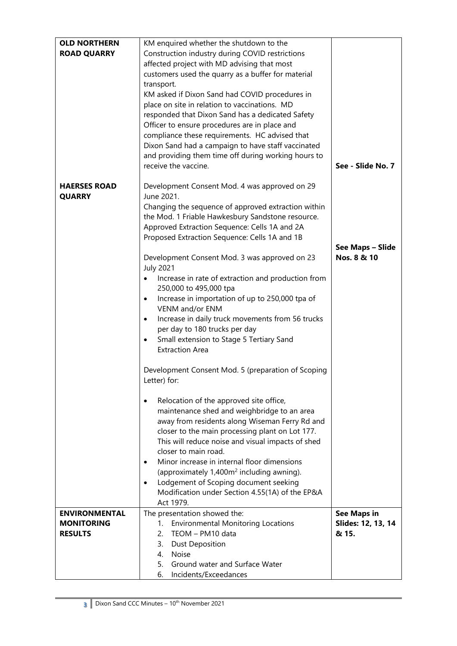| <b>OLD NORTHERN</b>  | KM enquired whether the shutdown to the                       |                    |
|----------------------|---------------------------------------------------------------|--------------------|
|                      |                                                               |                    |
| <b>ROAD QUARRY</b>   | Construction industry during COVID restrictions               |                    |
|                      | affected project with MD advising that most                   |                    |
|                      | customers used the quarry as a buffer for material            |                    |
|                      | transport.                                                    |                    |
|                      | KM asked if Dixon Sand had COVID procedures in                |                    |
|                      |                                                               |                    |
|                      | place on site in relation to vaccinations. MD                 |                    |
|                      | responded that Dixon Sand has a dedicated Safety              |                    |
|                      | Officer to ensure procedures are in place and                 |                    |
|                      | compliance these requirements. HC advised that                |                    |
|                      | Dixon Sand had a campaign to have staff vaccinated            |                    |
|                      | and providing them time off during working hours to           |                    |
|                      | receive the vaccine.                                          | See - Slide No. 7  |
|                      |                                                               |                    |
|                      |                                                               |                    |
| <b>HAERSES ROAD</b>  | Development Consent Mod. 4 was approved on 29                 |                    |
| <b>QUARRY</b>        | June 2021.                                                    |                    |
|                      | Changing the sequence of approved extraction within           |                    |
|                      | the Mod. 1 Friable Hawkesbury Sandstone resource.             |                    |
|                      | Approved Extraction Sequence: Cells 1A and 2A                 |                    |
|                      | Proposed Extraction Sequence: Cells 1A and 1B                 |                    |
|                      |                                                               |                    |
|                      |                                                               | See Maps - Slide   |
|                      | Development Consent Mod. 3 was approved on 23                 | Nos. 8 & 10        |
|                      | <b>July 2021</b>                                              |                    |
|                      | Increase in rate of extraction and production from            |                    |
|                      | 250,000 to 495,000 tpa                                        |                    |
|                      | Increase in importation of up to 250,000 tpa of<br>٠          |                    |
|                      | VENM and/or ENM                                               |                    |
|                      |                                                               |                    |
|                      | Increase in daily truck movements from 56 trucks<br>$\bullet$ |                    |
|                      | per day to 180 trucks per day                                 |                    |
|                      | Small extension to Stage 5 Tertiary Sand<br>٠                 |                    |
|                      | <b>Extraction Area</b>                                        |                    |
|                      |                                                               |                    |
|                      | Development Consent Mod. 5 (preparation of Scoping            |                    |
|                      | Letter) for:                                                  |                    |
|                      |                                                               |                    |
|                      | Relocation of the approved site office,<br>$\bullet$          |                    |
|                      | maintenance shed and weighbridge to an area                   |                    |
|                      | away from residents along Wiseman Ferry Rd and                |                    |
|                      | closer to the main processing plant on Lot 177.               |                    |
|                      | This will reduce noise and visual impacts of shed             |                    |
|                      | closer to main road.                                          |                    |
|                      |                                                               |                    |
|                      | Minor increase in internal floor dimensions<br>$\bullet$      |                    |
|                      | (approximately 1,400m <sup>2</sup> including awning).         |                    |
|                      | Lodgement of Scoping document seeking<br>$\bullet$            |                    |
|                      | Modification under Section 4.55(1A) of the EP&A               |                    |
|                      | Act 1979.                                                     |                    |
| <b>ENVIRONMENTAL</b> | The presentation showed the:                                  | <b>See Maps in</b> |
| <b>MONITORING</b>    | <b>Environmental Monitoring Locations</b><br>1.               | Slides: 12, 13, 14 |
| <b>RESULTS</b>       | TEOM - PM10 data<br>2.                                        | & 15.              |
|                      |                                                               |                    |
|                      | <b>Dust Deposition</b><br>3.                                  |                    |
|                      | <b>Noise</b><br>4.                                            |                    |
|                      | 5.<br>Ground water and Surface Water                          |                    |
|                      | 6.<br>Incidents/Exceedances                                   |                    |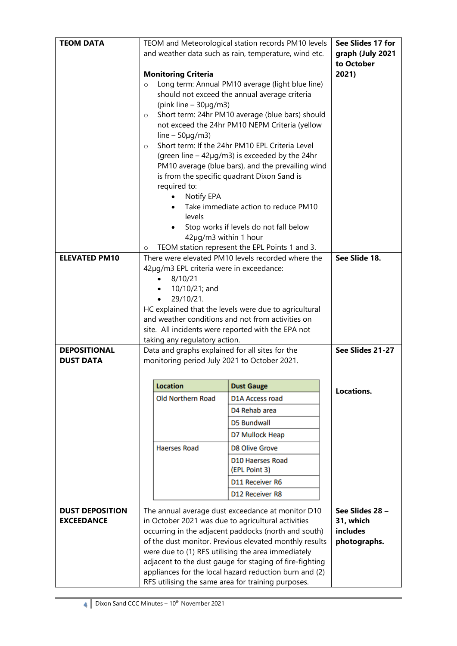| <b>TEOM DATA</b>       |                                                                                                 | TEOM and Meteorological station records PM10 levels                                                  | See Slides 17 for |
|------------------------|-------------------------------------------------------------------------------------------------|------------------------------------------------------------------------------------------------------|-------------------|
|                        | and weather data such as rain, temperature, wind etc.                                           | graph (July 2021                                                                                     |                   |
|                        |                                                                                                 |                                                                                                      | to October        |
|                        | <b>Monitoring Criteria</b>                                                                      |                                                                                                      | 2021)             |
|                        | $\circ$                                                                                         | Long term: Annual PM10 average (light blue line)                                                     |                   |
|                        |                                                                                                 | should not exceed the annual average criteria                                                        |                   |
|                        | (pink line $-30\mu g/m3$ )                                                                      |                                                                                                      |                   |
|                        | $\circ$                                                                                         | Short term: 24hr PM10 average (blue bars) should                                                     |                   |
|                        |                                                                                                 | not exceed the 24hr PM10 NEPM Criteria (yellow                                                       |                   |
|                        | line $-50\mu g/m3$ )<br>$\circ$                                                                 | Short term: If the 24hr PM10 EPL Criteria Level                                                      |                   |
|                        |                                                                                                 | (green line $-42\mu g/m3$ ) is exceeded by the 24hr                                                  |                   |
|                        |                                                                                                 | PM10 average (blue bars), and the prevailing wind                                                    |                   |
|                        |                                                                                                 | is from the specific quadrant Dixon Sand is                                                          |                   |
|                        | required to:                                                                                    |                                                                                                      |                   |
|                        | Notify EPA                                                                                      |                                                                                                      |                   |
|                        |                                                                                                 | Take immediate action to reduce PM10                                                                 |                   |
|                        | levels                                                                                          |                                                                                                      |                   |
|                        | Stop works if levels do not fall below                                                          |                                                                                                      |                   |
|                        |                                                                                                 | 42µg/m3 within 1 hour                                                                                |                   |
| <b>ELEVATED PM10</b>   | $\circ$                                                                                         | TEOM station represent the EPL Points 1 and 3.<br>There were elevated PM10 levels recorded where the | See Slide 18.     |
|                        | 42µg/m3 EPL criteria were in exceedance:                                                        |                                                                                                      |                   |
|                        | 8/10/21                                                                                         |                                                                                                      |                   |
|                        | 10/10/21; and                                                                                   |                                                                                                      |                   |
|                        | 29/10/21.                                                                                       |                                                                                                      |                   |
|                        | HC explained that the levels were due to agricultural                                           |                                                                                                      |                   |
|                        | and weather conditions and not from activities on                                               |                                                                                                      |                   |
|                        |                                                                                                 | site. All incidents were reported with the EPA not                                                   |                   |
| <b>DEPOSITIONAL</b>    | taking any regulatory action.                                                                   |                                                                                                      | See Slides 21-27  |
| <b>DUST DATA</b>       | Data and graphs explained for all sites for the<br>monitoring period July 2021 to October 2021. |                                                                                                      |                   |
|                        |                                                                                                 |                                                                                                      |                   |
|                        | <b>Location</b>                                                                                 | <b>Dust Gauge</b>                                                                                    |                   |
|                        | <b>Old Northern Road</b>                                                                        | D1A Access road                                                                                      | Locations.        |
|                        |                                                                                                 | D4 Rehab area                                                                                        |                   |
|                        |                                                                                                 |                                                                                                      |                   |
|                        |                                                                                                 | <b>D5 Bundwall</b>                                                                                   |                   |
|                        |                                                                                                 | D7 Mullock Heap                                                                                      |                   |
|                        | <b>Haerses Road</b>                                                                             | <b>D8 Olive Grove</b>                                                                                |                   |
|                        |                                                                                                 | D10 Haerses Road<br>(EPL Point 3)                                                                    |                   |
|                        |                                                                                                 | D11 Receiver R6                                                                                      |                   |
|                        |                                                                                                 | D12 Receiver R8                                                                                      |                   |
| <b>DUST DEPOSITION</b> |                                                                                                 | The annual average dust exceedance at monitor D10                                                    | See Slides 28 -   |
| <b>EXCEEDANCE</b>      |                                                                                                 | in October 2021 was due to agricultural activities                                                   | 31, which         |
|                        |                                                                                                 | occurring in the adjacent paddocks (north and south)                                                 | includes          |
|                        |                                                                                                 | of the dust monitor. Previous elevated monthly results                                               | photographs.      |
|                        |                                                                                                 | were due to (1) RFS utilising the area immediately                                                   |                   |
|                        |                                                                                                 | adjacent to the dust gauge for staging of fire-fighting                                              |                   |
|                        |                                                                                                 | appliances for the local hazard reduction burn and (2)                                               |                   |
|                        |                                                                                                 | RFS utilising the same area for training purposes.                                                   |                   |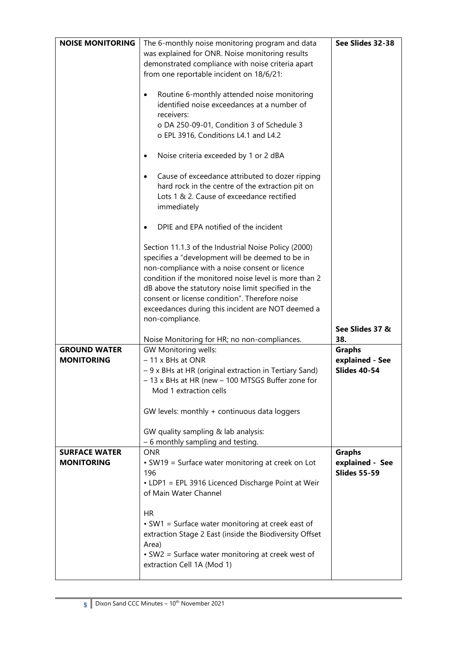| <b>NOISE MONITORING</b> | The 6-monthly noise monitoring program and data                                 | See Slides 32-38    |
|-------------------------|---------------------------------------------------------------------------------|---------------------|
|                         |                                                                                 |                     |
|                         | was explained for ONR. Noise monitoring results                                 |                     |
|                         | demonstrated compliance with noise criteria apart                               |                     |
|                         | from one reportable incident on 18/6/21:                                        |                     |
|                         |                                                                                 |                     |
|                         | Routine 6-monthly attended noise monitoring<br>٠                                |                     |
|                         | identified noise exceedances at a number of                                     |                     |
|                         | receivers:                                                                      |                     |
|                         | o DA 250-09-01, Condition 3 of Schedule 3                                       |                     |
|                         | o EPL 3916, Conditions L4.1 and L4.2                                            |                     |
|                         |                                                                                 |                     |
|                         | Noise criteria exceeded by 1 or 2 dBA<br>$\bullet$                              |                     |
|                         |                                                                                 |                     |
|                         | Cause of exceedance attributed to dozer ripping<br>$\bullet$                    |                     |
|                         | hard rock in the centre of the extraction pit on                                |                     |
|                         | Lots 1 & 2. Cause of exceedance rectified                                       |                     |
|                         | immediately                                                                     |                     |
|                         |                                                                                 |                     |
|                         | DPIE and EPA notified of the incident                                           |                     |
|                         |                                                                                 |                     |
|                         | Section 11.1.3 of the Industrial Noise Policy (2000)                            |                     |
|                         | specifies a "development will be deemed to be in                                |                     |
|                         | non-compliance with a noise consent or licence                                  |                     |
|                         | condition if the monitored noise level is more than 2                           |                     |
|                         |                                                                                 |                     |
|                         | dB above the statutory noise limit specified in the                             |                     |
|                         | consent or license condition". Therefore noise                                  |                     |
|                         | exceedances during this incident are NOT deemed a                               |                     |
|                         | non-compliance.                                                                 |                     |
|                         |                                                                                 | See Slides 37 &     |
|                         | Noise Monitoring for HR; no non-compliances.                                    | 38.                 |
| <b>GROUND WATER</b>     |                                                                                 |                     |
|                         | GW Monitoring wells:                                                            | <b>Graphs</b>       |
| <b>MONITORING</b>       | - 11 x BHs at ONR                                                               | explained - See     |
|                         | -9 x BHs at HR (original extraction in Tertiary Sand)                           | <b>Slides 40-54</b> |
|                         | - 13 x BHs at HR (new - 100 MTSGS Buffer zone for                               |                     |
|                         | Mod 1 extraction cells                                                          |                     |
|                         |                                                                                 |                     |
|                         | GW levels: monthly + continuous data loggers                                    |                     |
|                         |                                                                                 |                     |
|                         | GW quality sampling & lab analysis:                                             |                     |
|                         | - 6 monthly sampling and testing.                                               |                     |
| <b>SURFACE WATER</b>    | <b>ONR</b>                                                                      | <b>Graphs</b>       |
| <b>MONITORING</b>       | • SW19 = Surface water monitoring at creek on Lot                               | explained - See     |
|                         | 196                                                                             | <b>Slides 55-59</b> |
|                         |                                                                                 |                     |
|                         | • LDP1 = EPL 3916 Licenced Discharge Point at Weir<br>of Main Water Channel     |                     |
|                         |                                                                                 |                     |
|                         | <b>HR</b>                                                                       |                     |
|                         |                                                                                 |                     |
|                         | • SW1 = Surface water monitoring at creek east of                               |                     |
|                         | extraction Stage 2 East (inside the Biodiversity Offset                         |                     |
|                         | Area)                                                                           |                     |
|                         | • SW2 = Surface water monitoring at creek west of<br>extraction Cell 1A (Mod 1) |                     |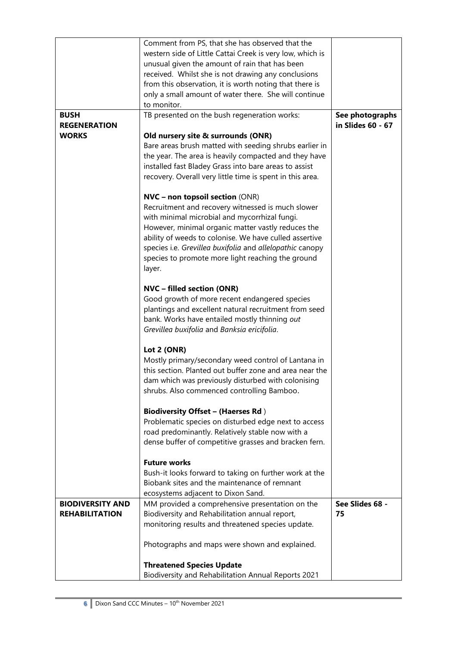|                         | Comment from PS, that she has observed that the           |                   |
|-------------------------|-----------------------------------------------------------|-------------------|
|                         | western side of Little Cattai Creek is very low, which is |                   |
|                         | unusual given the amount of rain that has been            |                   |
|                         | received. Whilst she is not drawing any conclusions       |                   |
|                         | from this observation, it is worth noting that there is   |                   |
|                         | only a small amount of water there. She will continue     |                   |
|                         | to monitor.                                               |                   |
| <b>BUSH</b>             | TB presented on the bush regeneration works:              | See photographs   |
| <b>REGENERATION</b>     |                                                           | in Slides 60 - 67 |
| <b>WORKS</b>            | Old nursery site & surrounds (ONR)                        |                   |
|                         | Bare areas brush matted with seeding shrubs earlier in    |                   |
|                         |                                                           |                   |
|                         | the year. The area is heavily compacted and they have     |                   |
|                         | installed fast Bladey Grass into bare areas to assist     |                   |
|                         | recovery. Overall very little time is spent in this area. |                   |
|                         |                                                           |                   |
|                         | <b>NVC - non topsoil section (ONR)</b>                    |                   |
|                         | Recruitment and recovery witnessed is much slower         |                   |
|                         | with minimal microbial and mycorrhizal fungi.             |                   |
|                         | However, minimal organic matter vastly reduces the        |                   |
|                         | ability of weeds to colonise. We have culled assertive    |                   |
|                         | species i.e. Grevillea buxifolia and allelopathic canopy  |                   |
|                         | species to promote more light reaching the ground         |                   |
|                         | layer.                                                    |                   |
|                         |                                                           |                   |
|                         | <b>NVC</b> - filled section (ONR)                         |                   |
|                         | Good growth of more recent endangered species             |                   |
|                         | plantings and excellent natural recruitment from seed     |                   |
|                         | bank. Works have entailed mostly thinning out             |                   |
|                         | Grevillea buxifolia and Banksia ericifolia.               |                   |
|                         |                                                           |                   |
|                         | Lot 2 (ONR)                                               |                   |
|                         | Mostly primary/secondary weed control of Lantana in       |                   |
|                         | this section. Planted out buffer zone and area near the   |                   |
|                         | dam which was previously disturbed with colonising        |                   |
|                         | shrubs. Also commenced controlling Bamboo.                |                   |
|                         | <b>Biodiversity Offset - (Haerses Rd)</b>                 |                   |
|                         | Problematic species on disturbed edge next to access      |                   |
|                         | road predominantly. Relatively stable now with a          |                   |
|                         | dense buffer of competitive grasses and bracken fern.     |                   |
|                         |                                                           |                   |
|                         | <b>Future works</b>                                       |                   |
|                         | Bush-it looks forward to taking on further work at the    |                   |
|                         | Biobank sites and the maintenance of remnant              |                   |
|                         | ecosystems adjacent to Dixon Sand.                        |                   |
| <b>BIODIVERSITY AND</b> | MM provided a comprehensive presentation on the           | See Slides 68 -   |
| <b>REHABILITATION</b>   | Biodiversity and Rehabilitation annual report,            | 75                |
|                         | monitoring results and threatened species update.         |                   |
|                         |                                                           |                   |
|                         | Photographs and maps were shown and explained.            |                   |
|                         |                                                           |                   |
|                         | <b>Threatened Species Update</b>                          |                   |
|                         | Biodiversity and Rehabilitation Annual Reports 2021       |                   |